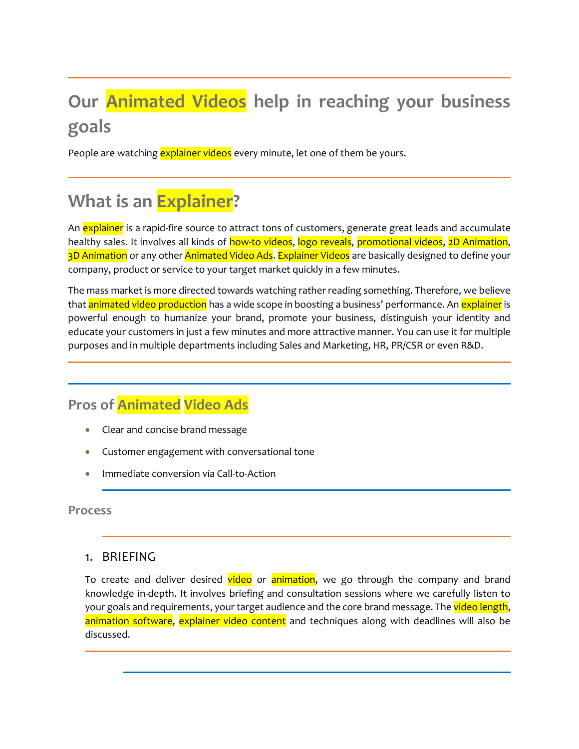# **Our Animated Videos help in reaching your business goals**

People are watching explainer videos every minute, let one of them be yours.

## **What is an Explainer?**

An **explainer** is a rapid-fire source to attract tons of customers, generate great leads and accumulate healthy sales. It involves all kinds of how-to videos, logo reveals, promotional videos, 2D Animation, 3D Animation or any other Animated Video Ads. Explainer Videos are basically designed to define your company, product or service to your target market quickly in a few minutes.

The mass market is more directed towards watching rather reading something. Therefore, we believe that **animated video production** has a wide scope in boosting a business' performance. An *explainer* is powerful enough to humanize your brand, promote your business, distinguish your identity and educate your customers in just a few minutes and more attractive manner. You can use it for multiple purposes and in multiple departments including Sales and Marketing, HR, PR/CSR or even R&D.

## **Pros of Animated Video Ads**

- Clear and concise brand message
- Customer engagement with conversational tone
- Immediate conversion via Call-to-Action

**Process**

#### 1. BRIEFING

To create and deliver desired video or animation, we go through the company and brand knowledge in-depth. It involves briefing and consultation sessions where we carefully listen to your goals and requirements, your target audience and the core brand message. The video length, animation software, explainer video content and techniques along with deadlines will also be discussed.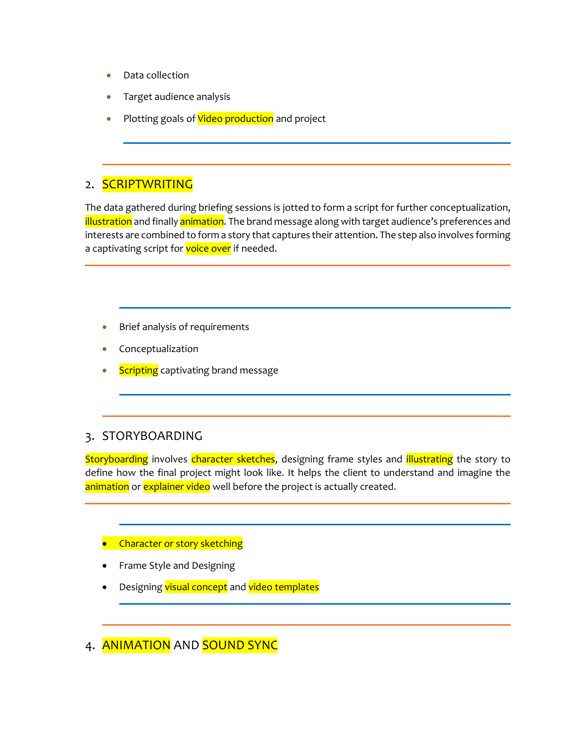- Data collection
- Target audience analysis
- Plotting goals of **Video production** and project

### 2. SCRIPTWRITING

The data gathered during briefing sessions is jotted to form a script for further conceptualization, illustration and finally animation. The brand message along with target audience's preferences and interests are combined to form a story that captures their attention. The step also involves forming a captivating script for voice over if needed.

- Brief analysis of requirements
- **Conceptualization**
- **Scripting** captivating brand message

## 3. STORYBOARDING

Storyboarding involves character sketches, designing frame styles and **illustrating** the story to define how the final project might look like. It helps the client to understand and imagine the animation or explainer video well before the project is actually created.

#### **•** Character or story sketching

- Frame Style and Designing
- Designing visual concept and video templates

4. ANIMATION AND SOUND SYNC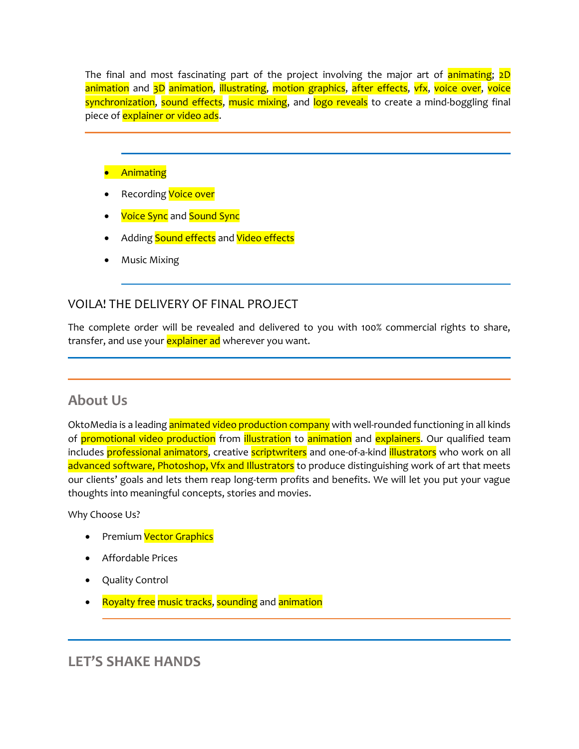The final and most fascinating part of the project involving the major art of **animating**; 2D animation and 3D animation, illustrating, motion graphics, after effects, vfx, voice over, voice synchronization, sound effects, music mixing, and logo reveals to create a mind-boggling final piece of **explainer or video ads.** 

#### • Animating

- Recording **Voice over**
- **Voice Sync** and Sound Sync
- Adding Sound effects and Video effects
- Music Mixing

#### VOILA! THE DELIVERY OF FINAL PROJECT

The complete order will be revealed and delivered to you with 100% commercial rights to share, transfer, and use your explainer ad wherever you want.

## **About Us**

OktoMedia is a leading **animated video production company** with well-rounded functioning in all kinds of promotional video production from illustration to animation and explainers. Our qualified team includes professional animators, creative scriptwriters and one-of-a-kind illustrators who work on all advanced software, Photoshop, Vfx and Illustrators to produce distinguishing work of art that meets our clients' goals and lets them reap long-term profits and benefits. We will let you put your vague thoughts into meaningful concepts, stories and movies.

Why Choose Us?

- Premium Vector Graphics
- Affordable Prices
- Quality Control
- Royalty free music tracks, sounding and animation

## **LET'S SHAKE HANDS**